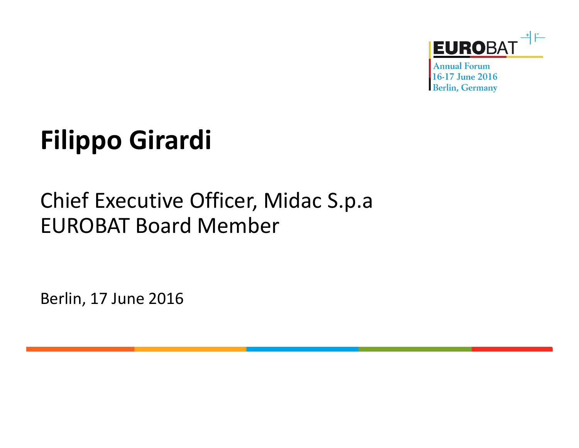

**Annual Forum** 16-17 June 2016 **Berlin, Germany** 

## **Filippo Girardi**

## Chief Executive Officer, Midac S.p.a EUROBAT Board Member

Berlin, 17 June 2016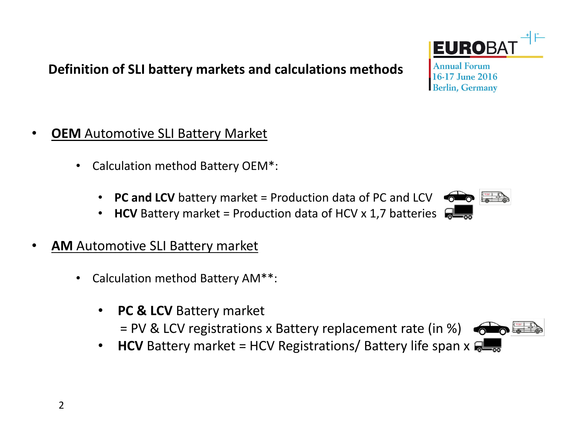#### **Definition of SLI battery markets and calculations methods**

- •**OEM** Automotive SLI Battery Market
	- $\bullet$  Calculation method Battery OEM\*:
		- **PC and LCV** battery market = Production data of PC and LCV
		- **HCV** Battery market = Production data of HCV x 1,7 batteries •
- • **AM** Automotive SLI Battery market
	- • Calculation method Battery AM\*\*:
		- **PC & LCV** Battery market
			- = PV & LCV registrations x Battery replacement rate (in %)
		- $\bullet$ **HCV** Battery market = HCV Registrations/ Battery life span x  $\mathbb{R}$





**Annual Forum** 16-17 June 2016 **Berlin, Germany** 

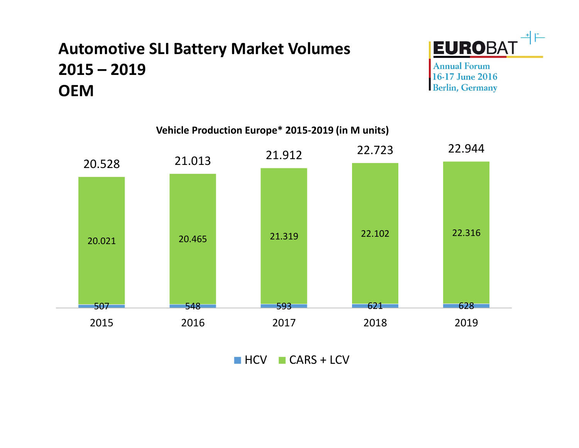## **Automotive SLI Battery Market Volumes 2015 – <sup>2019</sup>OEM**



**Annual Forum** 16-17 June 2016 **Berlin, Germany** 



 $HCV$   $CARS + LCV$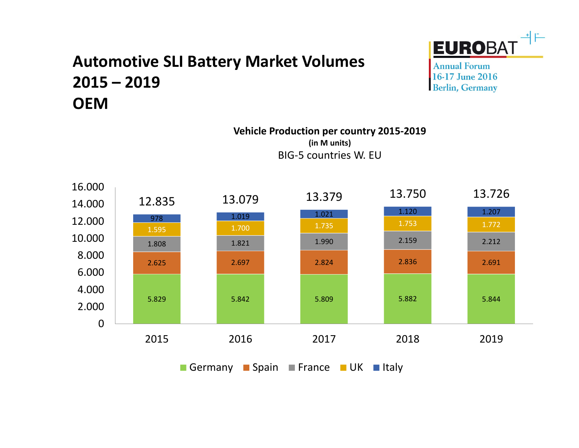### **Automotive SLI Battery Market Volumes 2015 – <sup>2019</sup>OEM**

**Vehicle Production per country 2015-2019(in M units)**BIG-5 countries W. EU



Germany ■Spain ■France ■UK ■Italy



**Annual Forum** 16-17 June 2016 **Berlin, Germany**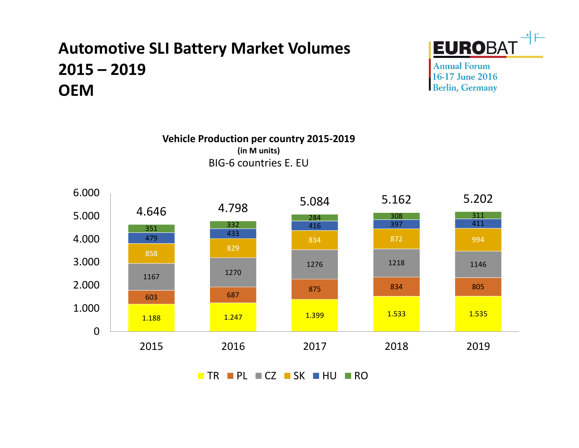## **Automotive SLI Battery Market Volumes 2015 – <sup>2019</sup>OEM**



**Annual Forum** 16-17 June 2016 **Berlin, Germany** 





TR PL ECZ DSK DHU DRO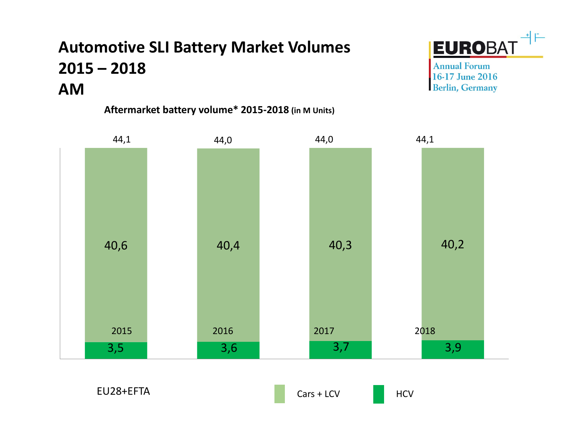## **Automotive SLI Battery Market Volumes 2015 – <sup>2018</sup>AM**

**Aftermarket battery volume\* 2015-2018 (in M Units)**



**Annual Forum** 16-17 June 2016 **Berlin, Germany** 



EU28+EFTA



**HCV**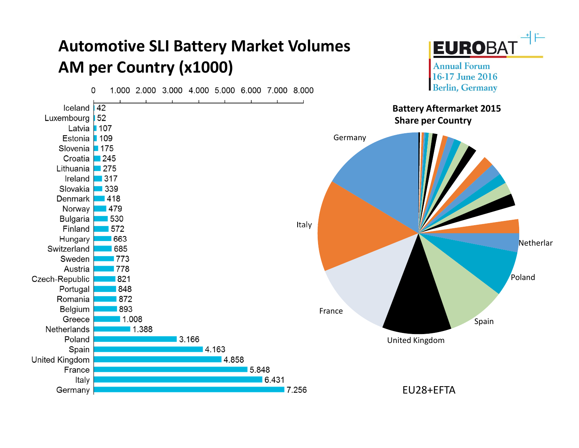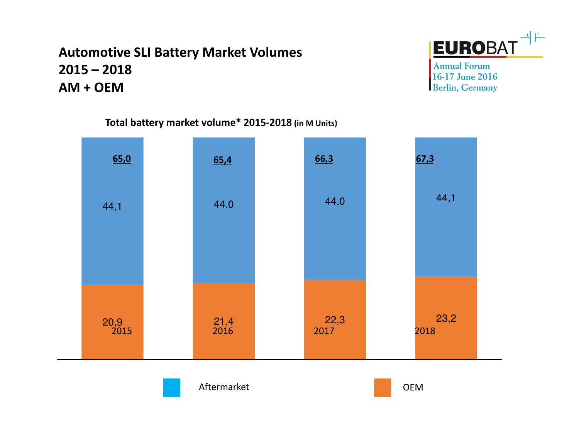#### **Automotive SLI Battery Market Volumes 2015 – <sup>2018</sup>AM + OEM**



**Annual Forum** 16-17 June 2016 **Berlin, Germany** 



**Total battery market volume\* 2015-2018 (in M Units)**

Aftermarket

t de la commune de la commune de la commune de la commune de la commune de la commune de la commune de la comm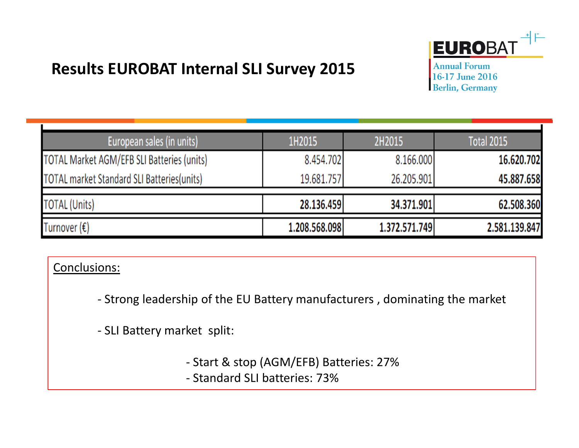### **Results EUROBAT Internal SLI Survey 2015**

**Annual Forum** 16-17 June 2016 **Berlin, Germany** 

| European sales (in units)                          | 1H2015        | 2H2015        | <b>Total 2015</b> |
|----------------------------------------------------|---------------|---------------|-------------------|
| <b>TOTAL Market AGM/EFB SLI Batteries (units)</b>  | 8.454.702     | 8.166.000     | 16.620.702        |
| <b>TOTAL market Standard SLI Batteries (units)</b> | 19.681.757    | 26.205.901    | 45.887.658        |
| <b>TOTAL (Units)</b>                               | 28.136.459    | 34.371.901    | 62.508.360        |
|                                                    |               |               |                   |
| Turnover $(\epsilon)$                              | 1.208.568.098 | 1.372.571.749 | 2.581.139.847     |

#### Conclusions:

- Strong leadership of the EU Battery manufacturers , dominating the market

- SLI Battery market split:

- Start & stop (AGM/EFB) Batteries: 27%

- Standard SLI batteries: 73%

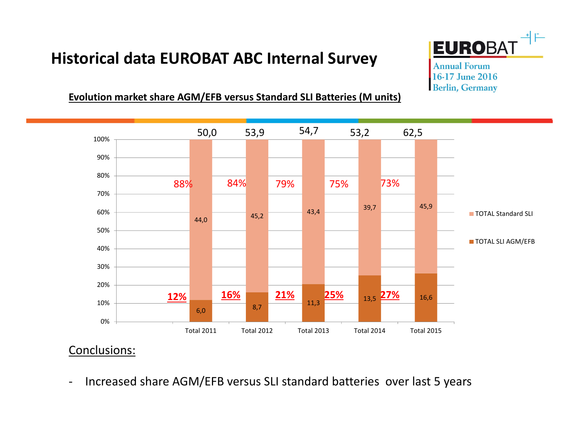#### **Historical data EUROBAT ABC Internal Survey**



**Annual Forum** 16-17 June 2016 **Berlin, Germany** 

#### **Evolution market share AGM/EFB versus Standard SLI Batteries (M units)**



#### Conclusions:

-Increased share AGM/EFB versus SLI standard batteries over last 5 years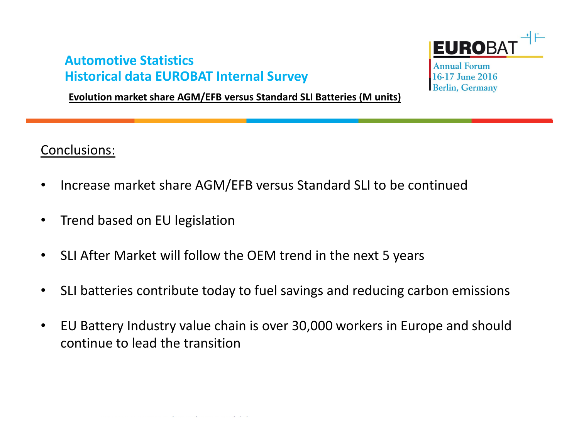#### **Automotive StatisticsHistorical data EUROBAT Internal Survey**

**Evolution market share AGM/EFB versus Standard SLI Batteries (M units)**

**EUROBA Annual Forum** 16-17 June 2016 **Berlin, Germany** 

Conclusions:

- •Increase market share AGM/EFB versus Standard SLI to be continued
- $\bullet$ Trend based on EU legislation
- $\bullet$ SLI After Market will follow the OEM trend in the next 5 years
- $\bullet$ SLI batteries contribute today to fuel savings and reducing carbon emissions
- $\bullet$  EU Battery Industry value chain is over 30,000 workers in Europe and shouldcontinue to lead the transition